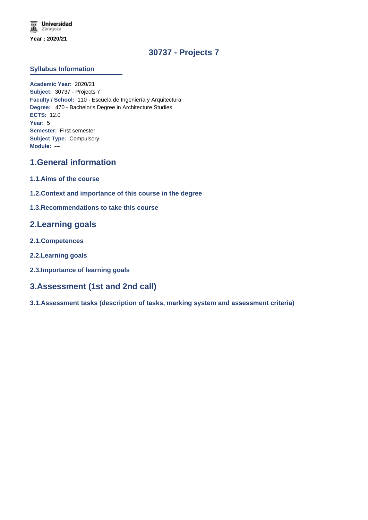# **30737 - Projects 7**

### **Syllabus Information**

**Academic Year:** 2020/21 **Subject:** 30737 - Projects 7 **Faculty / School:** 110 - Escuela de Ingeniería y Arquitectura **Degree:** 470 - Bachelor's Degree in Architecture Studies **ECTS:** 12.0 **Year:** 5 **Semester:** First semester **Subject Type:** Compulsory **Module:** ---

# **1.General information**

- **1.1.Aims of the course**
- **1.2.Context and importance of this course in the degree**

### **1.3.Recommendations to take this course**

## **2.Learning goals**

- **2.1.Competences**
- **2.2.Learning goals**
- **2.3.Importance of learning goals**

## **3.Assessment (1st and 2nd call)**

**3.1.Assessment tasks (description of tasks, marking system and assessment criteria)**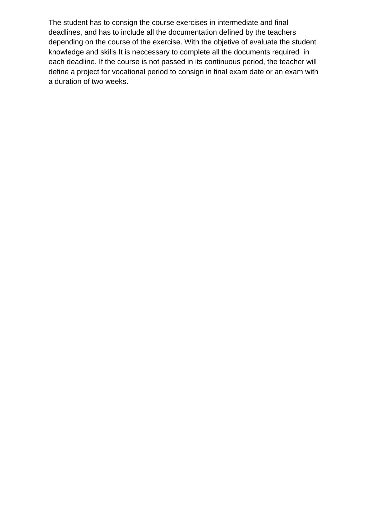The student has to consign the course exercises in intermediate and final deadlines, and has to include all the documentation defined by the teachers depending on the course of the exercise. With the objetive of evaluate the student knowledge and skills It is neccessary to complete all the documents required in each deadline. If the course is not passed in its continuous period, the teacher will define a project for vocational period to consign in final exam date or an exam with a duration of two weeks.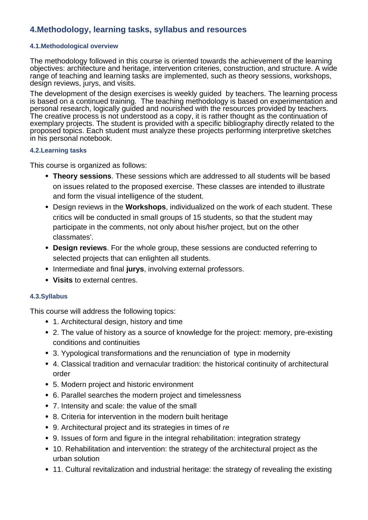# **4.Methodology, learning tasks, syllabus and resources**

## **4.1.Methodological overview**

The methodology followed in this course is oriented towards the achievement of the learning objectives: architecture and heritage, intervention criteries, construction, and structure. A wide range of teaching and learning tasks are implemented, such as theory sessions, workshops, design reviews, jurys, and visits.

The development of the design exercises is weekly guided by teachers. The learning process is based on a continued training. The teaching methodology is based on experimentation and personal research, logically guided and nourished with the resources provided by teachers. The creative process is not understood as a copy, it is rather thought as the continuation of exemplary projects. The student is provided with a specific bibliography directly related to the proposed topics. Each student must analyze these projects performing interpretive sketches in his personal notebook.

## **4.2.Learning tasks**

This course is organized as follows:

- **Theory sessions**. These sessions which are addressed to all students will be based on issues related to the proposed exercise. These classes are intended to illustrate and form the visual intelligence of the student.
- Design reviews in the **Workshops**, individualized on the work of each student. These critics will be conducted in small groups of 15 students, so that the student may participate in the comments, not only about his/her project, but on the other classmates'.
- **Design reviews**. For the whole group, these sessions are conducted referring to selected projects that can enlighten all students.
- Intermediate and final jurys, involving external professors.
- **Visits** to external centres.

## **4.3.Syllabus**

This course will address the following topics:

- 1. Architectural design, history and time
- 2. The value of history as a source of knowledge for the project: memory, pre-existing conditions and continuities
- 3. Yypological transformations and the renunciation of type in modernity
- 4. Classical tradition and vernacular tradition: the historical continuity of architectural order
- 5. Modern project and historic environment
- 6. Parallel searches the modern project and timelessness
- 7. Intensity and scale: the value of the small
- 8. Criteria for intervention in the modern built heritage
- 9. Architectural project and its strategies in times of *re*
- 9. Issues of form and figure in the integral rehabilitation: integration strategy
- 10. Rehabilitation and intervention: the strategy of the architectural project as the urban solution
- 11. Cultural revitalization and industrial heritage: the strategy of revealing the existing